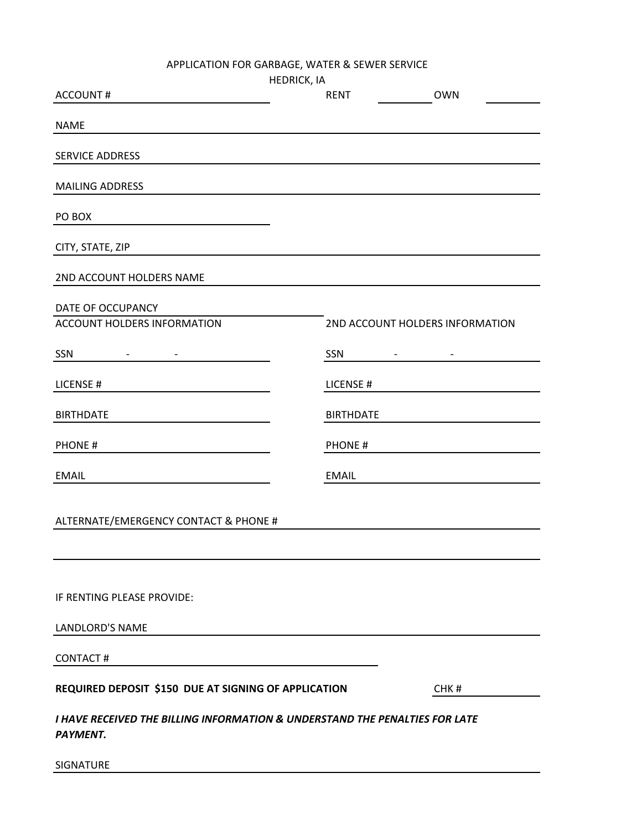APPLICATION FOR GARBAGE, WATER & SEWER SERVICE

|                                                                                                | <b>HEDRICK, IA</b> |                                 |                                 |
|------------------------------------------------------------------------------------------------|--------------------|---------------------------------|---------------------------------|
| <b>ACCOUNT#</b>                                                                                |                    | <b>RENT</b>                     | <b>OWN</b>                      |
| <b>NAME</b>                                                                                    |                    |                                 |                                 |
| <b>SERVICE ADDRESS</b>                                                                         |                    |                                 |                                 |
|                                                                                                |                    |                                 |                                 |
| <b>MAILING ADDRESS</b>                                                                         |                    |                                 |                                 |
| PO BOX                                                                                         |                    |                                 |                                 |
| CITY, STATE, ZIP                                                                               |                    |                                 |                                 |
| 2ND ACCOUNT HOLDERS NAME                                                                       |                    |                                 |                                 |
| DATE OF OCCUPANCY                                                                              |                    |                                 |                                 |
| ACCOUNT HOLDERS INFORMATION                                                                    |                    |                                 | 2ND ACCOUNT HOLDERS INFORMATION |
| SSN<br><b>Programs</b>                                                                         |                    | SSN<br>$\overline{\phantom{a}}$ |                                 |
| LICENSE#                                                                                       |                    | LICENSE#                        |                                 |
| <b>BIRTHDATE</b>                                                                               |                    | <b>BIRTHDATE</b>                |                                 |
| <b>PHONE#</b>                                                                                  |                    | <b>PHONE#</b>                   |                                 |
| <b>EMAIL</b>                                                                                   |                    | <b>EMAIL</b>                    |                                 |
|                                                                                                |                    |                                 |                                 |
| ALTERNATE/EMERGENCY CONTACT & PHONE #                                                          |                    |                                 |                                 |
|                                                                                                |                    |                                 |                                 |
| IF RENTING PLEASE PROVIDE:                                                                     |                    |                                 |                                 |
|                                                                                                |                    |                                 |                                 |
| <b>LANDLORD'S NAME</b>                                                                         |                    |                                 |                                 |
| <b>CONTACT#</b>                                                                                |                    |                                 |                                 |
| REQUIRED DEPOSIT \$150 DUE AT SIGNING OF APPLICATION                                           |                    |                                 | CHK#                            |
| I HAVE RECEIVED THE BILLING INFORMATION & UNDERSTAND THE PENALTIES FOR LATE<br><b>PAYMENT.</b> |                    |                                 |                                 |

SIGNATURE